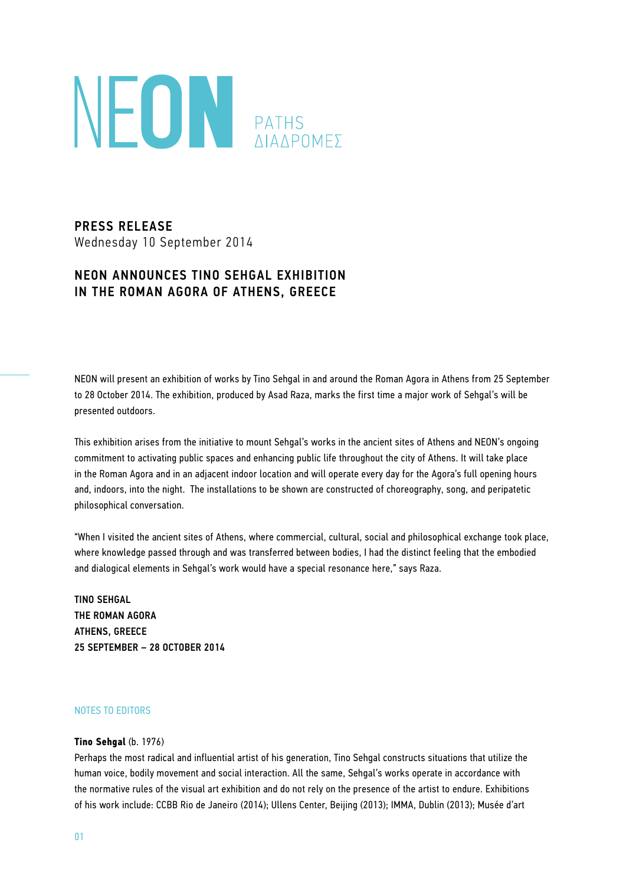

PRESS RELEASE Wednesday 10 September 2014

## NEON ANNOUNCES TINO SEHGAL EXHIBITION IN THE ROMAN AGORA OF ATHENS, GREECE

NEON will present an exhibition of works by Tino Sehgal in and around the Roman Agora in Athens from 25 September to 28 October 2014. The exhibition, produced by Asad Raza, marks the first time a major work of Sehgal's will be presented outdoors.

This exhibition arises from the initiative to mount Sehgal's works in the ancient sites of Athens and NEON's ongoing commitment to activating public spaces and enhancing public life throughout the city of Athens. It will take place in the Roman Agora and in an adjacent indoor location and will operate every day for the Agora's full opening hours and, indoors, into the night. The installations to be shown are constructed of choreography, song, and peripatetic philosophical conversation.

"When I visited the ancient sites of Athens, where commercial, cultural, social and philosophical exchange took place, where knowledge passed through and was transferred between bodies, I had the distinct feeling that the embodied and dialogical elements in Sehgal's work would have a special resonance here," says Raza.

TINO SEHGAL THE ROMAN AGORA ATHENS, GREECE 25 SEPTEMBER – 28 OCTOBER 2014

## NOTES TO EDITORS

## **Tino Sehgal** (b. 1976)

Perhaps the most radical and influential artist of his generation, Tino Sehgal constructs situations that utilize the human voice, bodily movement and social interaction. All the same, Sehgal's works operate in accordance with the normative rules of the visual art exhibition and do not rely on the presence of the artist to endure. Exhibitions of his work include: CCBB Rio de Janeiro (2014); Ullens Center, Beijing (2013); IMMA, Dublin (2013); Musée d'art